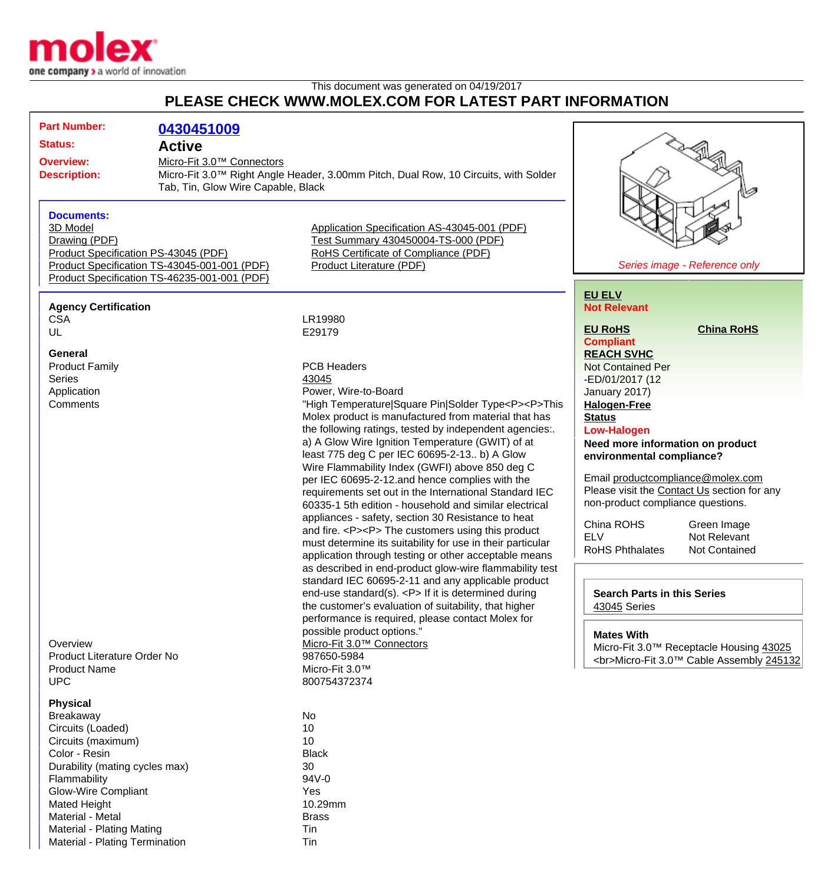

Material - Plating Termination Tin

## This document was generated on 04/19/2017 **PLEASE CHECK WWW.MOLEX.COM FOR LATEST PART INFORMATION**

| <b>Part Number:</b>                  | 0430451009                                   |                                                                                     |                                             |
|--------------------------------------|----------------------------------------------|-------------------------------------------------------------------------------------|---------------------------------------------|
| <b>Status:</b>                       | <b>Active</b>                                |                                                                                     |                                             |
| <b>Overview:</b>                     | Micro-Fit 3.0™ Connectors                    |                                                                                     |                                             |
| <b>Description:</b>                  |                                              | Micro-Fit 3.0™ Right Angle Header, 3.00mm Pitch, Dual Row, 10 Circuits, with Solder |                                             |
|                                      | Tab, Tin, Glow Wire Capable, Black           |                                                                                     |                                             |
|                                      |                                              |                                                                                     | V                                           |
| <b>Documents:</b>                    |                                              |                                                                                     |                                             |
| 3D Model                             |                                              | Application Specification AS-43045-001 (PDF)                                        |                                             |
| Drawing (PDF)                        |                                              | Test Summary 430450004-TS-000 (PDF)                                                 |                                             |
| Product Specification PS-43045 (PDF) |                                              | RoHS Certificate of Compliance (PDF)                                                |                                             |
|                                      | Product Specification TS-43045-001-001 (PDF) | <b>Product Literature (PDF)</b>                                                     | Series image - Reference only               |
|                                      | Product Specification TS-46235-001-001 (PDF) |                                                                                     |                                             |
|                                      |                                              |                                                                                     |                                             |
|                                      |                                              |                                                                                     | <b>EU ELV</b>                               |
| <b>Agency Certification</b>          |                                              | LR19980                                                                             | <b>Not Relevant</b>                         |
| <b>CSA</b><br>UL                     |                                              | E29179                                                                              | <b>China RoHS</b><br><b>EU RoHS</b>         |
|                                      |                                              |                                                                                     | <b>Compliant</b>                            |
| <b>General</b>                       |                                              |                                                                                     | <b>REACH SVHC</b>                           |
| <b>Product Family</b>                |                                              | <b>PCB Headers</b>                                                                  | <b>Not Contained Per</b>                    |
| <b>Series</b>                        |                                              | 43045                                                                               | -ED/01/2017 (12                             |
| Application                          |                                              | Power, Wire-to-Board                                                                | January 2017)                               |
| Comments                             |                                              | "High Temperature Square Pin Solder Type <p><p>This</p></p>                         | <b>Halogen-Free</b>                         |
|                                      |                                              | Molex product is manufactured from material that has                                | <b>Status</b>                               |
|                                      |                                              | the following ratings, tested by independent agencies:.                             | <b>Low-Halogen</b>                          |
|                                      |                                              | a) A Glow Wire Ignition Temperature (GWIT) of at                                    | Need more information on product            |
|                                      |                                              | least 775 deg C per IEC 60695-2-13 b) A Glow                                        | environmental compliance?                   |
|                                      |                                              | Wire Flammability Index (GWFI) above 850 deg C                                      |                                             |
|                                      |                                              | per IEC 60695-2-12.and hence complies with the                                      | Email productcompliance@molex.com           |
|                                      |                                              | requirements set out in the International Standard IEC                              | Please visit the Contact Us section for any |
|                                      |                                              | 60335-1 5th edition - household and similar electrical                              | non-product compliance questions.           |
|                                      |                                              | appliances - safety, section 30 Resistance to heat                                  | China ROHS<br>Green Image                   |
|                                      |                                              | and fire. <p><p> The customers using this product</p></p>                           | <b>ELV</b><br>Not Relevant                  |
|                                      |                                              | must determine its suitability for use in their particular                          | <b>RoHS Phthalates</b><br>Not Contained     |
|                                      |                                              | application through testing or other acceptable means                               |                                             |
|                                      |                                              | as described in end-product glow-wire flammability test                             |                                             |
|                                      |                                              | standard IEC 60695-2-11 and any applicable product                                  |                                             |
|                                      |                                              | end-use standard(s). <p> If it is determined during</p>                             | <b>Search Parts in this Series</b>          |
|                                      |                                              | the customer's evaluation of suitability, that higher                               | 43045 Series                                |
|                                      |                                              | performance is required, please contact Molex for                                   |                                             |
|                                      |                                              | possible product options."                                                          | <b>Mates With</b>                           |
| Overview                             |                                              | Micro-Fit 3.0™ Connectors                                                           | Micro-Fit 3.0™ Receptacle Housing 43025     |
| Product Literature Order No          |                                              | 987650-5984                                                                         | <br>Micro-Fit 3.0™ Cable Assembly 245132    |
| <b>Product Name</b>                  |                                              | Micro-Fit 3.0™                                                                      |                                             |
| <b>UPC</b>                           |                                              | 800754372374                                                                        |                                             |
| <b>Physical</b>                      |                                              |                                                                                     |                                             |
| Breakaway                            |                                              | No                                                                                  |                                             |
| Circuits (Loaded)                    |                                              | 10                                                                                  |                                             |
| Circuits (maximum)                   |                                              | 10                                                                                  |                                             |
| Color - Resin                        |                                              | <b>Black</b>                                                                        |                                             |
| Durability (mating cycles max)       |                                              | 30                                                                                  |                                             |
| Flammability                         |                                              | 94V-0                                                                               |                                             |
| <b>Glow-Wire Compliant</b>           |                                              | Yes                                                                                 |                                             |
| Mated Height                         |                                              | 10.29mm                                                                             |                                             |
| Material - Metal                     |                                              | <b>Brass</b>                                                                        |                                             |
| <b>Material - Plating Mating</b>     |                                              | Tin                                                                                 |                                             |